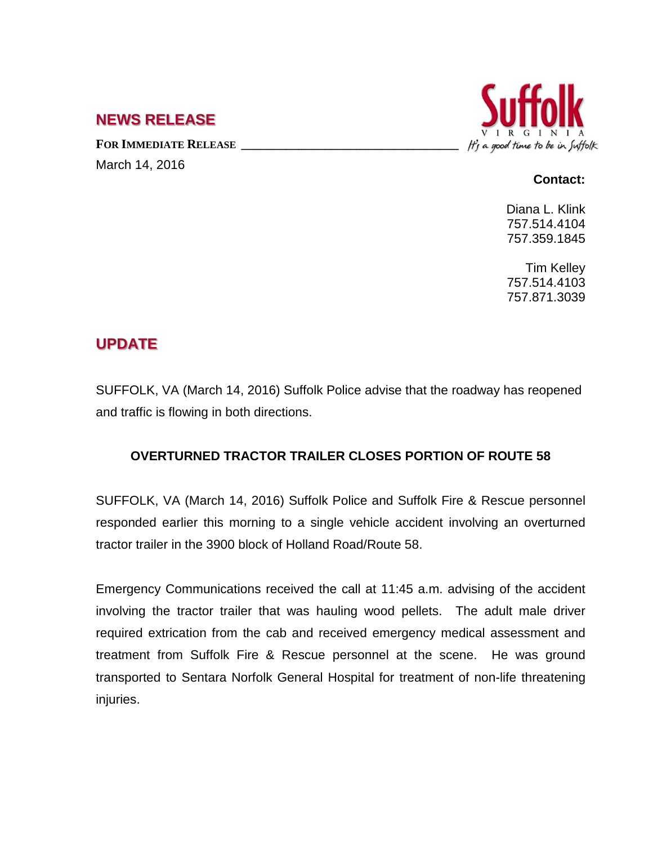## **NEWS RELEASE**

FOR **IMMEDIATE RELEASE** March 14, 2016



## **Contact:**

Diana L. Klink 757.514.4104 757.359.1845

Tim Kelley 757.514.4103 757.871.3039

## **UPDATE**

SUFFOLK, VA (March 14, 2016) Suffolk Police advise that the roadway has reopened and traffic is flowing in both directions.

## **OVERTURNED TRACTOR TRAILER CLOSES PORTION OF ROUTE 58**

SUFFOLK, VA (March 14, 2016) Suffolk Police and Suffolk Fire & Rescue personnel responded earlier this morning to a single vehicle accident involving an overturned tractor trailer in the 3900 block of Holland Road/Route 58.

Emergency Communications received the call at 11:45 a.m. advising of the accident involving the tractor trailer that was hauling wood pellets. The adult male driver required extrication from the cab and received emergency medical assessment and treatment from Suffolk Fire & Rescue personnel at the scene. He was ground transported to Sentara Norfolk General Hospital for treatment of non-life threatening injuries.